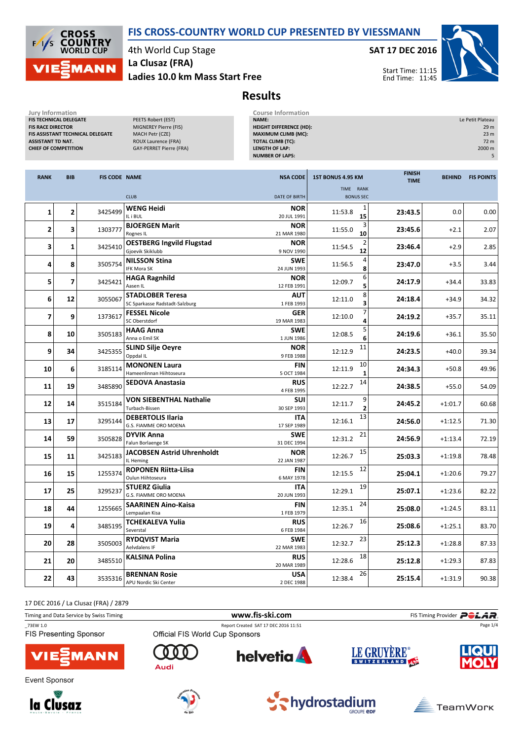



4th World Cup Stage La Clusaz (FRA)

Ladies 10.0 km Mass Start Free

SAT 17 DEC 2016



Start Time: 11:15 End Time: 11:45

## Results

| Jury Information<br>FIS TECHNICAL DELEGATE<br><b>FIS RACE DIRECTOR</b><br><b>ASSISTANT TD NAT.</b><br><b>CHIEF OF COMPETITION</b> |                          | FIS ASSISTANT TECHNICAL DELEGATE | PEETS Robert (EST)<br>MIGNEREY Pierre (FIS)<br>MACH Petr (CZE)<br>ROUX Laurence (FRA)<br><b>GAY-PERRET Pierre (FRA)</b> | <b>Course Information</b><br>NAME:<br><b>HEIGHT DIFFERENCE (HD):</b><br><b>MAXIMUM CLIMB (MC):</b><br><b>TOTAL CLIMB (TC):</b><br><b>LENGTH OF LAP:</b><br><b>NUMBER OF LAPS:</b> |                                         |                              |               | Le Petit Plateau<br>29 m<br>23 <sub>m</sub><br>72 m<br>2000 m<br>5 |
|-----------------------------------------------------------------------------------------------------------------------------------|--------------------------|----------------------------------|-------------------------------------------------------------------------------------------------------------------------|-----------------------------------------------------------------------------------------------------------------------------------------------------------------------------------|-----------------------------------------|------------------------------|---------------|--------------------------------------------------------------------|
| <b>RANK</b>                                                                                                                       | <b>BIB</b>               | <b>FIS CODE NAME</b>             |                                                                                                                         | <b>NSA CODE</b>                                                                                                                                                                   | 1ST BONUS 4.95 KM<br>TIME RANK          | <b>FINISH</b><br><b>TIME</b> | <b>BEHIND</b> | <b>FIS POINTS</b>                                                  |
|                                                                                                                                   |                          |                                  | <b>CLUB</b>                                                                                                             | DATE OF BIRTH                                                                                                                                                                     | <b>BONUS SEC</b>                        |                              |               |                                                                    |
| $\mathbf{1}$                                                                                                                      | 2                        | 3425499                          | <b>WENG Heidi</b><br>IL i BUL                                                                                           | <b>NOR</b><br>20 JUL 1991                                                                                                                                                         | 1<br>11:53.8<br>15                      | 23:43.5                      | 0.0           | 0.00                                                               |
| 2                                                                                                                                 | 3                        | 1303777                          | <b>BJOERGEN Marit</b><br>Rognes IL                                                                                      | <b>NOR</b><br>21 MAR 1980                                                                                                                                                         | 3<br>11:55.0<br>10                      | 23:45.6                      | $+2.1$        | 2.07                                                               |
| 3                                                                                                                                 | 1                        | 3425410                          | <b>OESTBERG Ingvild Flugstad</b><br>Gjoevik Skiklubb                                                                    | <b>NOR</b><br>9 NOV 1990                                                                                                                                                          | 2<br>11:54.5<br>12                      | 23:46.4                      | $+2.9$        | 2.85                                                               |
| 4                                                                                                                                 | 8                        | 3505754                          | <b>NILSSON Stina</b><br>IFK Mora SK                                                                                     | <b>SWE</b><br>24 JUN 1993                                                                                                                                                         | 4<br>11:56.5<br>8                       | 23:47.0                      | $+3.5$        | 3.44                                                               |
| 5                                                                                                                                 | $\overline{\phantom{a}}$ | 3425421                          | <b>HAGA Ragnhild</b><br>Aasen IL                                                                                        | <b>NOR</b><br>12 FEB 1991                                                                                                                                                         | 6<br>12:09.7<br>5                       | 24:17.9                      | $+34.4$       | 33.83                                                              |
| 6                                                                                                                                 | 12                       | 3055067                          | <b>STADLOBER Teresa</b><br>SC Sparkasse Radstadt-Salzburg                                                               | <b>AUT</b><br>1 FEB 1993                                                                                                                                                          | 8<br>12:11.0<br>3                       | 24:18.4                      | $+34.9$       | 34.32                                                              |
| 7                                                                                                                                 | 9                        | 1373617                          | <b>FESSEL Nicole</b><br>SC Oberstdorf                                                                                   | <b>GER</b><br>19 MAR 1983                                                                                                                                                         | 7<br>12:10.0<br>4                       | 24:19.2                      | $+35.7$       | 35.11                                                              |
| 8                                                                                                                                 | 10                       | 3505183                          | <b>HAAG Anna</b><br>Anna o Emil SK                                                                                      | <b>SWE</b><br>1 JUN 1986                                                                                                                                                          | 5<br>12:08.5<br>6                       | 24:19.6                      | $+36.1$       | 35.50                                                              |
| 9                                                                                                                                 | 34                       | 3425355                          | <b>SLIND Silje Oeyre</b><br>Oppdal IL                                                                                   | <b>NOR</b><br>9 FEB 1988                                                                                                                                                          | 11<br>12:12.9                           | 24:23.5                      | $+40.0$       | 39.34                                                              |
| 10                                                                                                                                | 6                        | 3185114                          | <b>MONONEN Laura</b><br>Hameenlinnan Hiihtoseura                                                                        | <b>FIN</b><br>5 OCT 1984                                                                                                                                                          | 10<br>12:11.9<br>$\mathbf{1}$           | 24:34.3                      | $+50.8$       | 49.96                                                              |
| 11                                                                                                                                | 19                       | 3485890                          | <b>SEDOVA Anastasia</b>                                                                                                 | <b>RUS</b><br>4 FEB 1995                                                                                                                                                          | 14<br>12:22.7                           | 24:38.5                      | $+55.0$       | 54.09                                                              |
| 12                                                                                                                                | 14                       | 3515184                          | VON SIEBENTHAL Nathalie<br>Turbach-Bissen                                                                               | SUI<br>30 SEP 1993                                                                                                                                                                | 9<br>12:11.7<br>$\overline{\mathbf{2}}$ | 24:45.2                      | $+1:01.7$     | 60.68                                                              |
| 13                                                                                                                                | 17                       | 3295144                          | <b>DEBERTOLIS Ilaria</b><br>G.S. FIAMME ORO MOENA                                                                       | <b>ITA</b><br>17 SEP 1989                                                                                                                                                         | 13<br>12:16.1                           | 24:56.0                      | $+1:12.5$     | 71.30                                                              |
| 14                                                                                                                                | 59                       | 3505828                          | <b>DYVIK Anna</b><br>Falun Borlaenge SK                                                                                 | <b>SWE</b><br>31 DEC 1994                                                                                                                                                         | 21<br>12:31.2                           | 24:56.9                      | $+1:13.4$     | 72.19                                                              |
| 15                                                                                                                                | 11                       | 3425183                          | <b>JACOBSEN Astrid Uhrenholdt</b><br>IL Heming                                                                          | <b>NOR</b><br>22 JAN 1987                                                                                                                                                         | 15<br>12:26.7                           | 25:03.3                      | $+1:19.8$     | 78.48                                                              |
| 16                                                                                                                                | 15                       | 1255374                          | <b>ROPONEN Riitta-Liisa</b><br>Oulun Hiihtoseura                                                                        | <b>FIN</b><br>6 MAY 1978                                                                                                                                                          | 12<br>12:15.5                           | 25:04.1                      | $+1:20.6$     | 79.27                                                              |
| 17                                                                                                                                | 25                       | 3295237                          | STUERZ Giulia<br>G.S. FIAMME ORO MOENA                                                                                  | ITA<br>20 JUN 1993                                                                                                                                                                | 19<br>12:29.1                           | 25:07.1                      | $+1:23.6$     | 82.22                                                              |
| 18                                                                                                                                | 44                       | 1255665                          | <b>SAARINEN Aino-Kaisa</b><br>Lempaalan Kisa                                                                            | <b>FIN</b><br>1 FEB 1979                                                                                                                                                          | 24<br>12:35.1                           | 25:08.0                      | $+1:24.5$     | 83.11                                                              |
| 19                                                                                                                                | 4                        | 3485195                          | <b>TCHEKALEVA Yulia</b><br>Severstal                                                                                    | <b>RUS</b><br>6 FEB 1984                                                                                                                                                          | 16<br>12:26.7                           | 25:08.6                      | $+1:25.1$     | 83.70                                                              |
| 20                                                                                                                                | 28                       | 3505003                          | <b>RYDQVIST Maria</b><br>Aelvdalens IF                                                                                  | <b>SWE</b><br>22 MAR 1983                                                                                                                                                         | 23<br>12:32.7                           | 25:12.3                      | $+1:28.8$     | 87.33                                                              |
| 21                                                                                                                                | 20                       | 3485510                          | <b>KALSINA Polina</b>                                                                                                   | <b>RUS</b><br>20 MAR 1989                                                                                                                                                         | 18<br>12:28.6                           | 25:12.8                      | $+1:29.3$     | 87.83                                                              |
| 22                                                                                                                                | 43                       | 3535316                          | <b>BRENNAN Rosie</b><br>APU Nordic Ski Center                                                                           | <b>USA</b><br>2 DEC 1988                                                                                                                                                          | 26<br>12:38.4                           | 25:15.4                      | $+1:31.9$     | 90.38                                                              |

17 DEC 2016 / La Clusaz (FRA) / 2879

| Timing and Data Service by Swiss Timing |                                 | www.fis-ski.com                      |             | FIS Timing Provider <b>POLAR</b> |
|-----------------------------------------|---------------------------------|--------------------------------------|-------------|----------------------------------|
| 73EW 1.0                                |                                 | Report Created SAT 17 DEC 2016 11:51 |             | Page 1/4                         |
| <b>FIS Presenting Sponsor</b>           | Official FIS World Cup Sponsors |                                      |             |                                  |
| <b>VIESMANN</b>                         | $000$<br>Audi                   | <b>helvetia</b>                      | LE GRUYÈRE® | <b>LIQUI</b>                     |



Event Sponsor







**GROUPE EDF** 

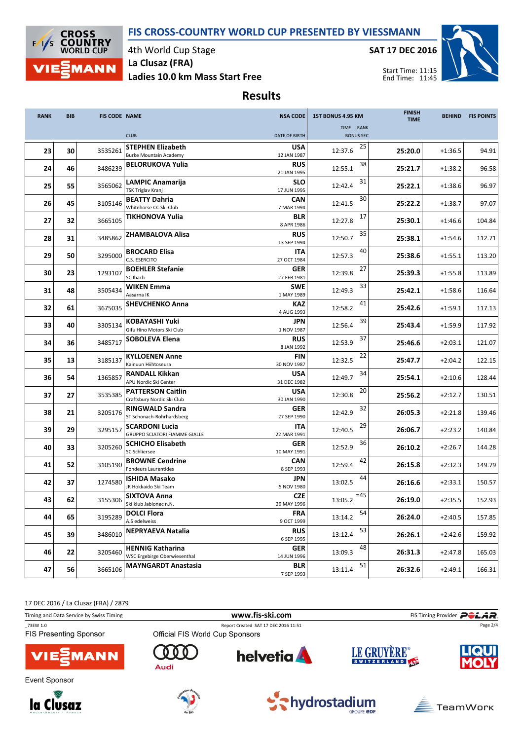## FIS CROSS-COUNTRY WORLD CUP PRESENTED BY VIESSMANN



4th World Cup Stage La Clusaz (FRA)

Ladies 10.0 km Mass Start Free

SAT 17 DEC 2016



Start Time: 11:15 End Time: 11:45

Results

| <b>RANK</b> | <b>BIB</b> | <b>FIS CODE NAME</b> |                                                               | <b>NSA CODE</b>           | 1ST BONUS 4.95 KM             | <b>FINISH</b><br><b>TIME</b> | <b>BEHIND</b> | <b>FIS POINTS</b> |
|-------------|------------|----------------------|---------------------------------------------------------------|---------------------------|-------------------------------|------------------------------|---------------|-------------------|
|             |            |                      | <b>CLUB</b>                                                   | DATE OF BIRTH             | TIME RANK<br><b>BONUS SEC</b> |                              |               |                   |
|             |            |                      | <b>STEPHEN Elizabeth</b>                                      | <b>USA</b>                | 25                            |                              |               |                   |
| 23          | 30         | 3535261              | <b>Burke Mountain Academy</b>                                 | 12 JAN 1987               | 12:37.6                       | 25:20.0                      | $+1:36.5$     | 94.91             |
| 24          | 46         | 3486239              | <b>BELORUKOVA Yulia</b>                                       | <b>RUS</b><br>21 JAN 1995 | 38<br>12:55.1                 | 25:21.7                      | $+1:38.2$     | 96.58             |
| 25          | 55         | 3565062              | <b>LAMPIC Anamarija</b><br>TSK Triglav Kranj                  | SLO<br>17 JUN 1995        | 31<br>12:42.4                 | 25:22.1                      | $+1:38.6$     | 96.97             |
| 26          | 45         | 3105146              | <b>BEATTY Dahria</b><br>Whitehorse CC Ski Club                | <b>CAN</b>                | 30<br>12:41.5                 | 25:22.2                      | $+1:38.7$     | 97.07             |
| 27          | 32         | 3665105              | TIKHONOVA Yulia                                               | 7 MAR 1994<br>BLR         | 17<br>12:27.8                 | 25:30.1                      | $+1:46.6$     | 104.84            |
| 28          | 31         | 3485862              | <b>ZHAMBALOVA Alisa</b>                                       | 8 APR 1986<br><b>RUS</b>  | 35<br>12:50.7                 |                              |               | 112.71            |
|             |            |                      |                                                               | 13 SEP 1994               |                               | 25:38.1                      | $+1:54.6$     |                   |
| 29          | 50         | 3295000              | <b>BROCARD Elisa</b><br>C.S. ESERCITO                         | <b>ITA</b><br>27 OCT 1984 | 40<br>12:57.3                 | 25:38.6                      | $+1:55.1$     | 113.20            |
| 30          | 23         | 1293107              | <b>BOEHLER Stefanie</b><br>SC Ibach                           | <b>GER</b><br>27 FEB 1981 | 27<br>12:39.8                 | 25:39.3                      | $+1:55.8$     | 113.89            |
| 31          | 48         | 3505434              | <b>WIKEN Emma</b><br>Aasarna IK                               | <b>SWE</b><br>1 MAY 1989  | 33<br>12:49.3                 | 25:42.1                      | $+1:58.6$     | 116.64            |
| 32          | 61         | 3675035              | <b>SHEVCHENKO Anna</b>                                        | <b>KAZ</b>                | 41<br>12:58.2                 | 25:42.6                      | $+1:59.1$     | 117.13            |
| 33          | 40         | 3305134              | KOBAYASHI Yuki                                                | 4 AUG 1993<br>JPN         | 39<br>12:56.4                 | 25:43.4                      | $+1:59.9$     | 117.92            |
|             |            |                      | Gifu Hino Motors Ski Club                                     | 1 NOV 1987                |                               |                              |               |                   |
| 34          | 36         | 3485717              | <b>SOBOLEVA Elena</b>                                         | <b>RUS</b><br>8 JAN 1992  | 37<br>12:53.9                 | 25:46.6                      | $+2:03.1$     | 121.07            |
| 35          | 13         | 3185137              | <b>KYLLOENEN Anne</b><br>Kainuun Hiihtoseura                  | FIN<br>30 NOV 1987        | 22<br>12:32.5                 | 25:47.7                      | $+2:04.2$     | 122.15            |
| 36          | 54         | 1365857              | <b>RANDALL Kikkan</b><br>APU Nordic Ski Center                | <b>USA</b><br>31 DEC 1982 | 34<br>12:49.7                 | 25:54.1                      | $+2:10.6$     | 128.44            |
| 37          | 27         | 3535385              | <b>PATTERSON Caitlin</b>                                      | <b>USA</b>                | 20<br>12:30.8                 | 25:56.2                      | $+2:12.7$     | 130.51            |
|             |            |                      | Craftsbury Nordic Ski Club<br><b>RINGWALD Sandra</b>          | 30 JAN 1990<br><b>GER</b> | 32                            |                              |               |                   |
| 38          | 21         | 3205176              | ST Schonach-Rohrhardsberg                                     | 27 SEP 1990               | 12:42.9                       | 26:05.3                      | $+2:21.8$     | 139.46            |
| 39          | 29         | 3295157              | <b>SCARDONI Lucia</b><br><b>GRUPPO SCIATORI FIAMME GIALLE</b> | <b>ITA</b><br>22 MAR 1991 | 29<br>12:40.5                 | 26:06.7                      | $+2:23.2$     | 140.84            |
| 40          | 33         | 3205260              | <b>SCHICHO Elisabeth</b><br>SC Schliersee                     | GER<br>10 MAY 1991        | 36<br>12:52.9                 | 26:10.2                      | $+2:26.7$     | 144.28            |
| 41          | 52         | 3105190              | <b>BROWNE Cendrine</b>                                        | CAN                       | 42<br>12:59.4                 | 26:15.8                      | $+2:32.3$     | 149.79            |
|             |            |                      | <b>Fondeurs Laurentides</b>                                   | 8 SEP 1993                |                               |                              |               |                   |
| 42          | 37         | 1274580              | <b>ISHIDA Masako</b><br>JR Hokkaido Ski Team                  | JPN.<br>5 NOV 1980        | 44<br>13:02.5                 | 26:16.6                      | $+2:33.1$     | 150.57            |
| 43          | 62         | 3155306              | <b>SIXTOVA Anna</b><br>Ski klub Jablonec n.N.                 | <b>CZE</b><br>29 MAY 1996 | $=45$<br>13:05.2              | 26:19.0                      | $+2:35.5$     | 152.93            |
| 44          | 65         | 3195289              | <b>DOLCI Flora</b><br>A.S edelweiss                           | <b>FRA</b><br>9 OCT 1999  | 54<br>13:14.2                 | 26:24.0                      | $+2:40.5$     | 157.85            |
| 45          | 39         | 3486010              | <b>NEPRYAEVA Natalia</b>                                      | <b>RUS</b><br>6 SEP 1995  | 53<br>13:12.4                 | 26:26.1                      | $+2:42.6$     | 159.92            |
| 46          | 22         | 3205460              | <b>HENNIG Katharina</b>                                       | <b>GER</b>                | 48<br>13:09.3                 | 26:31.3                      | $+2:47.8$     | 165.03            |
|             |            |                      | WSC Ergebirge Oberwiesenthal                                  | 14 JUN 1996               |                               |                              |               |                   |
| 47          | 56         | 3665106              | <b>MAYNGARDT Anastasia</b>                                    | <b>BLR</b><br>7 SEP 1993  | 51<br>13:11.4                 | 26:32.6                      | $+2:49.1$     | 166.31            |

17 DEC 2016 / La Clusaz (FRA) / 2879

| Timing and Data Service by Swiss Timing   |                                 | www.fis-ski.com                      |             | FIS Timing Provider <b>POLAR</b> |
|-------------------------------------------|---------------------------------|--------------------------------------|-------------|----------------------------------|
| 73EW 1.0<br><b>FIS Presenting Sponsor</b> | Official FIS World Cup Sponsors | Report Created SAT 17 DEC 2016 11:51 |             | Page 2/4                         |
| <b>VIESMANN</b>                           | Audi                            | <b>helvetia</b>                      | LE GRUYÈRE® | <b>LIQUI</b>                     |







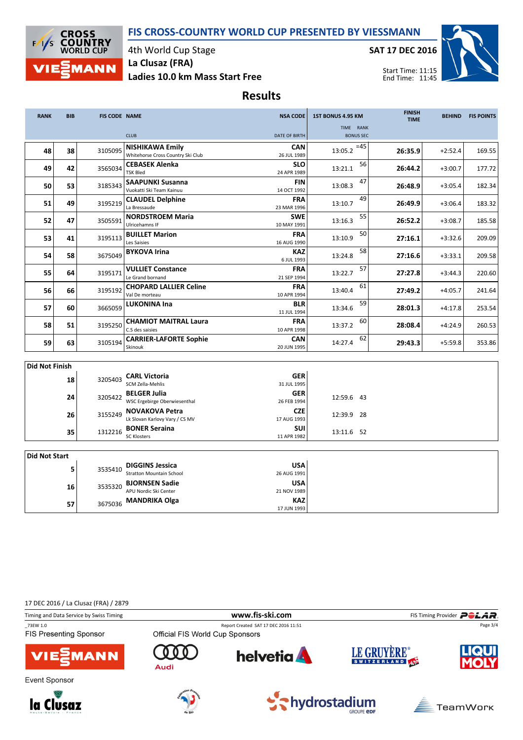



4th World Cup Stage La Clusaz (FRA)

Ladies 10.0 km Mass Start Free

SAT 17 DEC 2016



Results

| <b>RANK</b>           | <b>BIB</b> | <b>FIS CODE NAME</b> |                                                             | <b>NSA CODE</b>           | 1ST BONUS 4.95 KM             | <b>FINISH</b><br><b>TIME</b> | <b>BEHIND</b> | <b>FIS POINTS</b> |
|-----------------------|------------|----------------------|-------------------------------------------------------------|---------------------------|-------------------------------|------------------------------|---------------|-------------------|
|                       |            |                      | <b>CLUB</b>                                                 | <b>DATE OF BIRTH</b>      | TIME RANK<br><b>BONUS SEC</b> |                              |               |                   |
| 48                    | 38         | 3105095              | <b>NISHIKAWA Emily</b><br>Whitehorse Cross Country Ski Club | <b>CAN</b><br>26 JUL 1989 | $=45$<br>13:05.2              | 26:35.9                      | $+2:52.4$     | 169.55            |
| 49                    | 42         | 3565034              | <b>CEBASEK Alenka</b><br><b>TSK Bled</b>                    | <b>SLO</b><br>24 APR 1989 | 56<br>13:21.1                 | 26:44.2                      | $+3:00.7$     | 177.72            |
| 50                    | 53         | 3185343              | <b>SAAPUNKI Susanna</b><br>Vuokatti Ski Team Kainuu         | <b>FIN</b><br>14 OCT 1992 | 47<br>13:08.3                 | 26:48.9                      | $+3:05.4$     | 182.34            |
| 51                    | 49         | 3195219              | <b>CLAUDEL Delphine</b><br>La Bressaude                     | <b>FRA</b><br>23 MAR 1996 | 49<br>13:10.7                 | 26:49.9                      | $+3:06.4$     | 183.32            |
| 52                    | 47         | 3505591              | <b>NORDSTROEM Maria</b><br>Ulricehamns IF                   | <b>SWE</b><br>10 MAY 1991 | 55<br>13:16.3                 | 26:52.2                      | $+3:08.7$     | 185.58            |
| 53                    | 41         | 3195113              | <b>BUILLET Marion</b><br>Les Saisies                        | <b>FRA</b><br>16 AUG 1990 | 50<br>13:10.9                 | 27:16.1                      | $+3:32.6$     | 209.09            |
| 54                    | 58         | 3675049              | <b>BYKOVA Irina</b>                                         | <b>KAZ</b><br>6 JUL 1993  | 58<br>13:24.8                 | 27:16.6                      | $+3:33.1$     | 209.58            |
| 55                    | 64         | 3195171              | <b>VULLIET Constance</b><br>Le Grand bornand                | <b>FRA</b><br>21 SEP 1994 | 57<br>13:22.7                 | 27:27.8                      | $+3:44.3$     | 220.60            |
| 56                    | 66         | 3195192              | <b>CHOPARD LALLIER Celine</b><br>Val De morteau             | <b>FRA</b><br>10 APR 1994 | 61<br>13:40.4                 | 27:49.2                      | $+4:05.7$     | 241.64            |
| 57                    | 60         | 3665059              | <b>LUKONINA Ina</b>                                         | <b>BLR</b><br>11 JUL 1994 | 59<br>13:34.6                 | 28:01.3                      | $+4:17.8$     | 253.54            |
| 58                    | 51         | 3195250              | <b>CHAMIOT MAITRAL Laura</b><br>C.S des saisies             | <b>FRA</b><br>10 APR 1998 | 60<br>13:37.2                 | 28:08.4                      | $+4:24.9$     | 260.53            |
| 59                    | 63         | 3105194              | <b>CARRIER-LAFORTE Sophie</b><br>Skinouk                    | <b>CAN</b><br>20 JUN 1995 | 62<br>14:27.4                 | 29:43.3                      | $+5:59.8$     | 353.86            |
| <b>Did Not Finish</b> |            |                      |                                                             |                           |                               |                              |               |                   |

| <b>GER</b><br><b>CARL Victoria</b><br>18<br>3205403<br>SCM Zella-Mehlis<br>31 JUL 1995<br><b>GER</b><br><b>BELGER Julia</b><br>24<br>3205422<br>12:59.6 43<br>WSC Ergebirge Oberwiesenthal<br>26 FEB 1994<br><b>CZE</b><br>3155249 NOVAKOVA Petra<br>26<br>12:39.9 28<br>Lk Slovan Karlovy Vary / CS MV<br>17 AUG 1993 | ווכווודו ושניו וועו |         |  |  |  |  |  |  |  |
|------------------------------------------------------------------------------------------------------------------------------------------------------------------------------------------------------------------------------------------------------------------------------------------------------------------------|---------------------|---------|--|--|--|--|--|--|--|
|                                                                                                                                                                                                                                                                                                                        |                     |         |  |  |  |  |  |  |  |
|                                                                                                                                                                                                                                                                                                                        |                     |         |  |  |  |  |  |  |  |
|                                                                                                                                                                                                                                                                                                                        |                     |         |  |  |  |  |  |  |  |
|                                                                                                                                                                                                                                                                                                                        |                     |         |  |  |  |  |  |  |  |
|                                                                                                                                                                                                                                                                                                                        |                     |         |  |  |  |  |  |  |  |
|                                                                                                                                                                                                                                                                                                                        |                     |         |  |  |  |  |  |  |  |
| <b>SUI</b><br><b>BONER Seraina</b><br>35<br>13:11.6 52                                                                                                                                                                                                                                                                 |                     |         |  |  |  |  |  |  |  |
| 11 APR 1982<br><b>SC Klosters</b>                                                                                                                                                                                                                                                                                      |                     | 1312216 |  |  |  |  |  |  |  |

| Did Not Start |         |                                                    |             |
|---------------|---------|----------------------------------------------------|-------------|
|               | 3535410 | <b>DIGGINS Jessica</b><br>Stratton Mountain School | <b>USA</b>  |
|               |         |                                                    | 26 AUG 1991 |
| 16            |         | <b>BJORNSEN Sadie</b>                              | <b>USA</b>  |
|               | 3535320 | APU Nordic Ski Center                              | 21 NOV 1989 |
| 57            |         | 3675036 MANDRIKA Olga                              | <b>KAZ</b>  |
|               |         |                                                    | 17 JUN 1993 |

17 DEC 2016 / La Clusaz (FRA) / 2879

| Timing and Data Service by Swiss Timing    |                                 | www.fis-ski.com                      |             | FIS Timing Provider <b>POLAR</b> . |
|--------------------------------------------|---------------------------------|--------------------------------------|-------------|------------------------------------|
| _73EW 1.0<br><b>FIS Presenting Sponsor</b> | Official FIS World Cup Sponsors | Report Created SAT 17 DEC 2016 11:51 |             | Page 3/4                           |
| <b>VIE</b> MANN                            | Audi                            | <b>helvetia</b>                      | LE GRUYERE® |                                    |
| Event Sponsor                              | $-5$ an $E$ .                   |                                      |             |                                    |